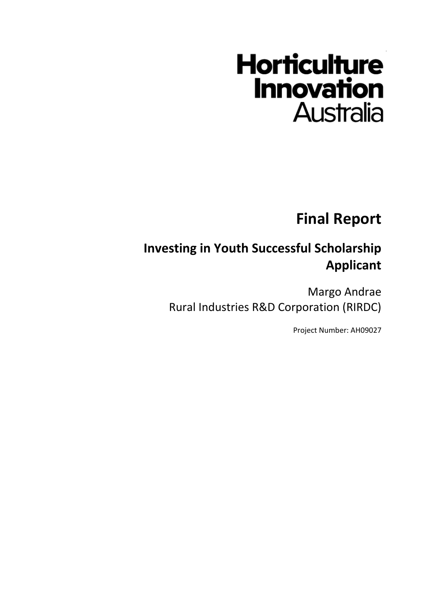# **Horticulture Innovation Australia**

**Final Report**

# **Investing in Youth Successful Scholarship Applicant**

Margo Andrae Rural Industries R&D Corporation (RIRDC)

Project Number: AH09027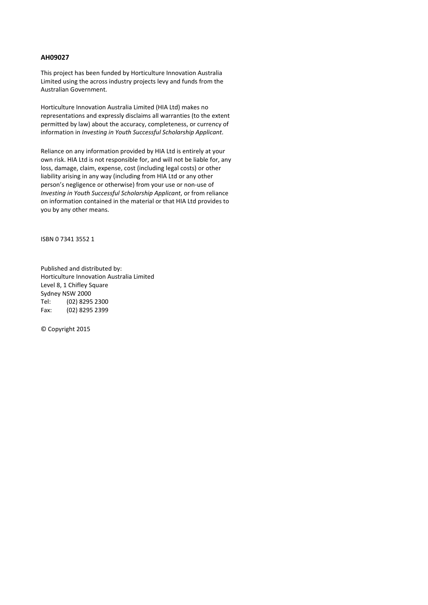#### **AH09027**

This project has been funded by Horticulture Innovation Australia Limited using the across industry projects levy and funds from the Australian Government.

Horticulture Innovation Australia Limited (HIA Ltd) makes no representations and expressly disclaims all warranties (to the extent permitted by law) about the accuracy, completeness, or currency of information in *Investing in Youth Successful Scholarship Applicant*.

Reliance on any information provided by HIA Ltd is entirely at your own risk. HIA Ltd is not responsible for, and will not be liable for, any loss, damage, claim, expense, cost (including legal costs) or other liability arising in any way (including from HIA Ltd or any other person's negligence or otherwise) from your use or non-use of *Investing in Youth Successful Scholarship Applicant*, or from reliance on information contained in the material or that HIA Ltd provides to you by any other means.

ISBN 0 7341 3552 1

Published and distributed by: Horticulture Innovation Australia Limited Level 8, 1 Chifley Square Sydney NSW 2000 Tel: (02) 8295 2300 Fax: (02) 8295 2399

© Copyright 2015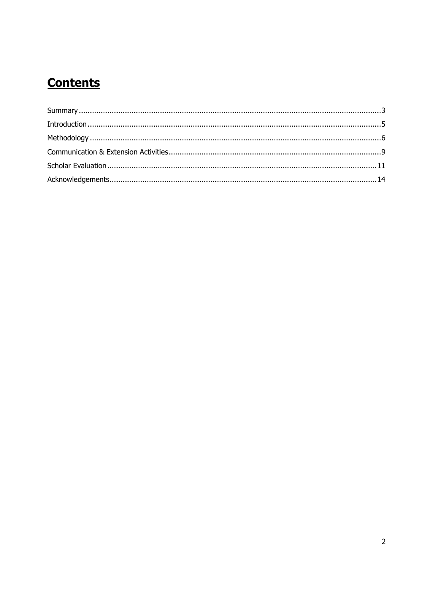# **Contents**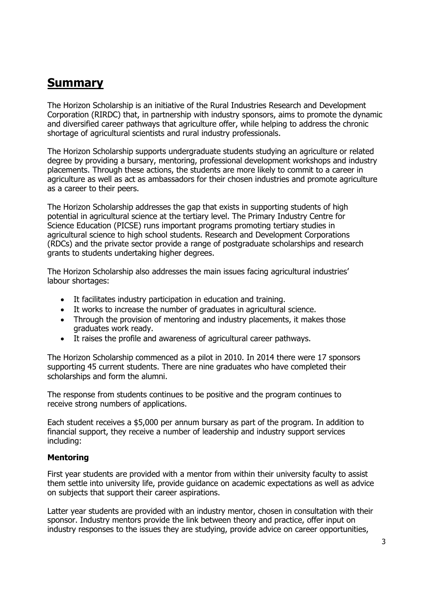### <span id="page-3-0"></span>**Summary**

The Horizon Scholarship is an initiative of the Rural Industries Research and Development Corporation (RIRDC) that, in partnership with industry sponsors, aims to promote the dynamic and diversified career pathways that agriculture offer, while helping to address the chronic shortage of agricultural scientists and rural industry professionals.

The Horizon Scholarship supports undergraduate students studying an agriculture or related degree by providing a bursary, mentoring, professional development workshops and industry placements. Through these actions, the students are more likely to commit to a career in agriculture as well as act as ambassadors for their chosen industries and promote agriculture as a career to their peers.

The Horizon Scholarship addresses the gap that exists in supporting students of high potential in agricultural science at the tertiary level. The Primary Industry Centre for Science Education (PICSE) runs important programs promoting tertiary studies in agricultural science to high school students. Research and Development Corporations (RDCs) and the private sector provide a range of postgraduate scholarships and research grants to students undertaking higher degrees.

The Horizon Scholarship also addresses the main issues facing agricultural industries' labour shortages:

- It facilitates industry participation in education and training.
- It works to increase the number of graduates in agricultural science.
- Through the provision of mentoring and industry placements, it makes those graduates work ready.
- It raises the profile and awareness of agricultural career pathways.

The Horizon Scholarship commenced as a pilot in 2010. In 2014 there were 17 sponsors supporting 45 current students. There are nine graduates who have completed their scholarships and form the alumni.

The response from students continues to be positive and the program continues to receive strong numbers of applications.

Each student receives a \$5,000 per annum bursary as part of the program. In addition to financial support, they receive a number of leadership and industry support services including:

#### **Mentoring**

First year students are provided with a mentor from within their university faculty to assist them settle into university life, provide guidance on academic expectations as well as advice on subjects that support their career aspirations.

Latter year students are provided with an industry mentor, chosen in consultation with their sponsor. Industry mentors provide the link between theory and practice, offer input on industry responses to the issues they are studying, provide advice on career opportunities,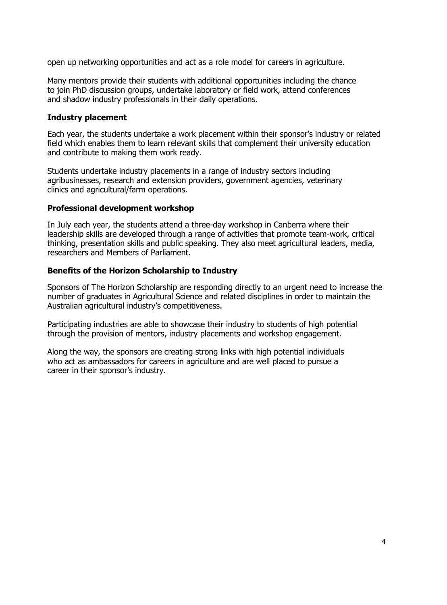open up networking opportunities and act as a role model for careers in agriculture.

Many mentors provide their students with additional opportunities including the chance to join PhD discussion groups, undertake laboratory or field work, attend conferences and shadow industry professionals in their daily operations.

#### **Industry placement**

Each year, the students undertake a work placement within their sponsor's industry or related field which enables them to learn relevant skills that complement their university education and contribute to making them work ready.

Students undertake industry placements in a range of industry sectors including agribusinesses, research and extension providers, government agencies, veterinary clinics and agricultural/farm operations.

#### **Professional development workshop**

In July each year, the students attend a three-day workshop in Canberra where their leadership skills are developed through a range of activities that promote team-work, critical thinking, presentation skills and public speaking. They also meet agricultural leaders, media, researchers and Members of Parliament.

#### **Benefits of the Horizon Scholarship to Industry**

Sponsors of The Horizon Scholarship are responding directly to an urgent need to increase the number of graduates in Agricultural Science and related disciplines in order to maintain the Australian agricultural industry's competitiveness.

Participating industries are able to showcase their industry to students of high potential through the provision of mentors, industry placements and workshop engagement.

Along the way, the sponsors are creating strong links with high potential individuals who act as ambassadors for careers in agriculture and are well placed to pursue a career in their sponsor's industry.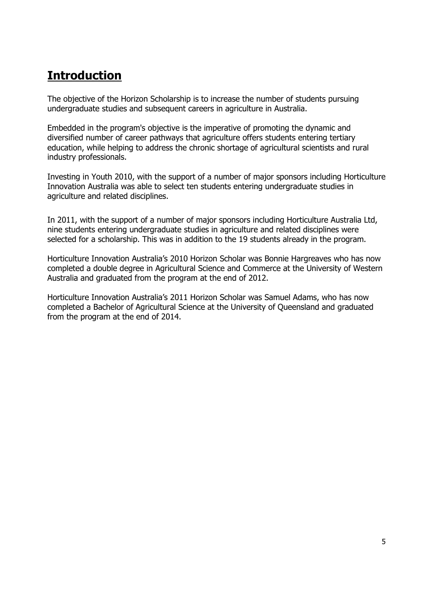# <span id="page-5-0"></span>**Introduction**

The objective of the Horizon Scholarship is to increase the number of students pursuing undergraduate studies and subsequent careers in agriculture in Australia.

Embedded in the program's objective is the imperative of promoting the dynamic and diversified number of career pathways that agriculture offers students entering tertiary education, while helping to address the chronic shortage of agricultural scientists and rural industry professionals.

Investing in Youth 2010, with the support of a number of major sponsors including Horticulture Innovation Australia was able to select ten students entering undergraduate studies in agriculture and related disciplines.

In 2011, with the support of a number of major sponsors including Horticulture Australia Ltd, nine students entering undergraduate studies in agriculture and related disciplines were selected for a scholarship. This was in addition to the 19 students already in the program.

Horticulture Innovation Australia's 2010 Horizon Scholar was Bonnie Hargreaves who has now completed a double degree in Agricultural Science and Commerce at the University of Western Australia and graduated from the program at the end of 2012.

<span id="page-5-1"></span>Horticulture Innovation Australia's 2011 Horizon Scholar was Samuel Adams, who has now completed a Bachelor of Agricultural Science at the University of Queensland and graduated from the program at the end of 2014.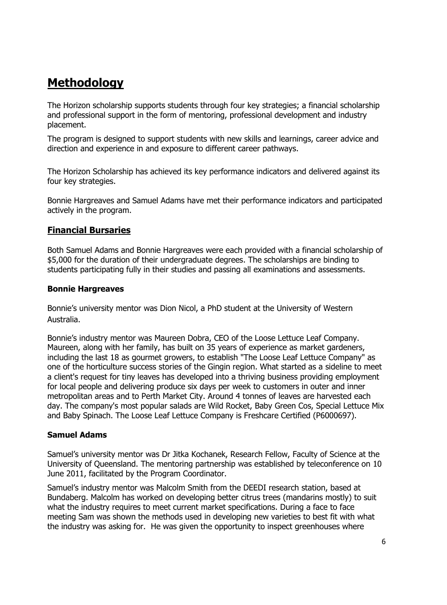## **Methodology**

The Horizon scholarship supports students through four key strategies; a financial scholarship and professional support in the form of mentoring, professional development and industry placement.

The program is designed to support students with new skills and learnings, career advice and direction and experience in and exposure to different career pathways.

The Horizon Scholarship has achieved its key performance indicators and delivered against its four key strategies.

Bonnie Hargreaves and Samuel Adams have met their performance indicators and participated actively in the program.

#### **Financial Bursaries**

Both Samuel Adams and Bonnie Hargreaves were each provided with a financial scholarship of \$5,000 for the duration of their undergraduate degrees. The scholarships are binding to students participating fully in their studies and passing all examinations and assessments.

#### **Bonnie Hargreaves**

Bonnie's university mentor was Dion Nicol, a PhD student at the University of Western Australia.

Bonnie's industry mentor was Maureen Dobra, CEO of the Loose Lettuce Leaf Company. Maureen, along with her family, has built on 35 years of experience as market gardeners, including the last 18 as gourmet growers, to establish "The Loose Leaf Lettuce Company" as one of the horticulture success stories of the Gingin region. What started as a sideline to meet a client's request for tiny leaves has developed into a thriving business providing employment for local people and delivering produce six days per week to customers in outer and inner metropolitan areas and to Perth Market City. Around 4 tonnes of leaves are harvested each day. The company's most popular salads are Wild Rocket, Baby Green Cos, Special Lettuce Mix and Baby Spinach. The Loose Leaf Lettuce Company is Freshcare Certified (P6000697).

#### **Samuel Adams**

Samuel's university mentor was Dr Jitka Kochanek, Research Fellow, Faculty of Science at the University of Queensland. The mentoring partnership was established by teleconference on 10 June 2011, facilitated by the Program Coordinator.

Samuel's industry mentor was Malcolm Smith from the DEEDI research station, based at Bundaberg. Malcolm has worked on developing better citrus trees (mandarins mostly) to suit what the industry requires to meet current market specifications. During a face to face meeting Sam was shown the methods used in developing new varieties to best fit with what the industry was asking for. He was given the opportunity to inspect greenhouses where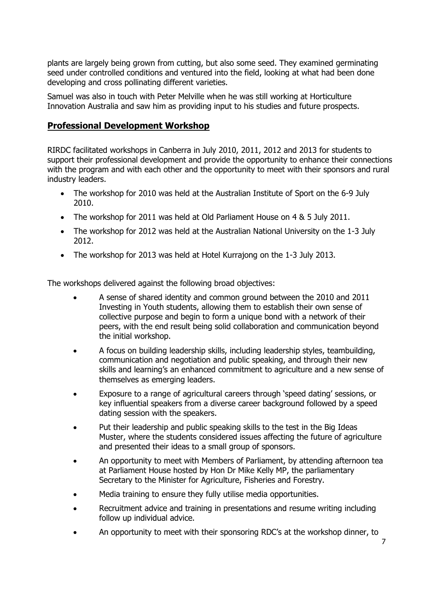plants are largely being grown from cutting, but also some seed. They examined germinating seed under controlled conditions and ventured into the field, looking at what had been done developing and cross pollinating different varieties.

Samuel was also in touch with Peter Melville when he was still working at Horticulture Innovation Australia and saw him as providing input to his studies and future prospects.

#### **Professional Development Workshop**

RIRDC facilitated workshops in Canberra in July 2010, 2011, 2012 and 2013 for students to support their professional development and provide the opportunity to enhance their connections with the program and with each other and the opportunity to meet with their sponsors and rural industry leaders.

- The workshop for 2010 was held at the Australian Institute of Sport on the 6-9 July 2010.
- The workshop for 2011 was held at Old Parliament House on 4 & 5 July 2011.
- The workshop for 2012 was held at the Australian National University on the 1-3 July 2012.
- The workshop for 2013 was held at Hotel Kurrajong on the 1-3 July 2013.

The workshops delivered against the following broad objectives:

- A sense of shared identity and common ground between the 2010 and 2011 Investing in Youth students, allowing them to establish their own sense of collective purpose and begin to form a unique bond with a network of their peers, with the end result being solid collaboration and communication beyond the initial workshop.
- A focus on building leadership skills, including leadership styles, teambuilding, communication and negotiation and public speaking, and through their new skills and learning's an enhanced commitment to agriculture and a new sense of themselves as emerging leaders.
- Exposure to a range of agricultural careers through 'speed dating' sessions, or key influential speakers from a diverse career background followed by a speed dating session with the speakers.
- Put their leadership and public speaking skills to the test in the Big Ideas Muster, where the students considered issues affecting the future of agriculture and presented their ideas to a small group of sponsors.
- An opportunity to meet with Members of Parliament, by attending afternoon tea at Parliament House hosted by Hon Dr Mike Kelly MP, the parliamentary Secretary to the Minister for Agriculture, Fisheries and Forestry.
- Media training to ensure they fully utilise media opportunities.
- Recruitment advice and training in presentations and resume writing including follow up individual advice.
- An opportunity to meet with their sponsoring RDC's at the workshop dinner, to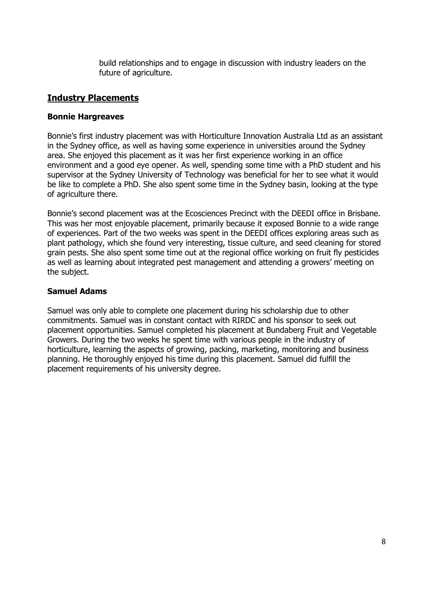build relationships and to engage in discussion with industry leaders on the future of agriculture.

#### **Industry Placements**

#### **Bonnie Hargreaves**

Bonnie's first industry placement was with Horticulture Innovation Australia Ltd as an assistant in the Sydney office, as well as having some experience in universities around the Sydney area. She enjoyed this placement as it was her first experience working in an office environment and a good eye opener. As well, spending some time with a PhD student and his supervisor at the Sydney University of Technology was beneficial for her to see what it would be like to complete a PhD. She also spent some time in the Sydney basin, looking at the type of agriculture there.

Bonnie's second placement was at the Ecosciences Precinct with the DEEDI office in Brisbane. This was her most enjoyable placement, primarily because it exposed Bonnie to a wide range of experiences. Part of the two weeks was spent in the DEEDI offices exploring areas such as plant pathology, which she found very interesting, tissue culture, and seed cleaning for stored grain pests. She also spent some time out at the regional office working on fruit fly pesticides as well as learning about integrated pest management and attending a growers' meeting on the subject.

#### **Samuel Adams**

Samuel was only able to complete one placement during his scholarship due to other commitments. Samuel was in constant contact with RIRDC and his sponsor to seek out placement opportunities. Samuel completed his placement at Bundaberg Fruit and Vegetable Growers. During the two weeks he spent time with various people in the industry of horticulture, learning the aspects of growing, packing, marketing, monitoring and business planning. He thoroughly enjoyed his time during this placement. Samuel did fulfill the placement requirements of his university degree.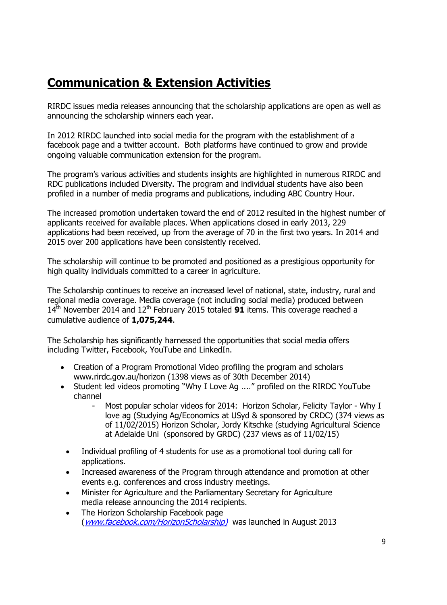# <span id="page-9-0"></span>**Communication & Extension Activities**

RIRDC issues media releases announcing that the scholarship applications are open as well as announcing the scholarship winners each year.

In 2012 RIRDC launched into social media for the program with the establishment of a facebook page and a twitter account. Both platforms have continued to grow and provide ongoing valuable communication extension for the program.

The program's various activities and students insights are highlighted in numerous RIRDC and RDC publications included Diversity. The program and individual students have also been profiled in a number of media programs and publications, including ABC Country Hour.

The increased promotion undertaken toward the end of 2012 resulted in the highest number of applicants received for available places. When applications closed in early 2013, 229 applications had been received, up from the average of 70 in the first two years. In 2014 and 2015 over 200 applications have been consistently received.

The scholarship will continue to be promoted and positioned as a prestigious opportunity for high quality individuals committed to a career in agriculture.

The Scholarship continues to receive an increased level of national, state, industry, rural and regional media coverage. Media coverage (not including social media) produced between 14<sup>th</sup> November 2014 and 12<sup>th</sup> February 2015 totaled **91** items. This coverage reached a cumulative audience of **1,075,244**.

The Scholarship has significantly harnessed the opportunities that social media offers including Twitter, Facebook, YouTube and LinkedIn.

- Creation of a Program Promotional Video profiling the program and scholars [www.rirdc.gov.au/horizon](http://www.rirdc.gov.au/horizon) (1398 views as of 30th December 2014)
- Student led videos promoting "Why I Love Ag ...." profiled on the RIRDC YouTube channel
	- Most popular scholar videos for 2014: Horizon Scholar, Felicity Taylor Why I love ag (Studying Ag/Economics at USyd & sponsored by CRDC) (374 views as of 11/02/2015) Horizon Scholar, Jordy Kitschke (studying Agricultural Science at Adelaide Uni (sponsored by GRDC) (237 views as of 11/02/15)
	- Individual profiling of 4 students for use as a promotional tool during call for applications.
	- Increased awareness of the Program through attendance and promotion at other events e.g. conferences and cross industry meetings.
	- Minister for Agriculture and the Parliamentary Secretary for Agriculture media release announcing the 2014 recipients.
	- The Horizon Scholarship Facebook page ([www.facebook.com/HorizonScholarship\)](http://www.facebook.com/HorizonScholarship)) was launched in August 2013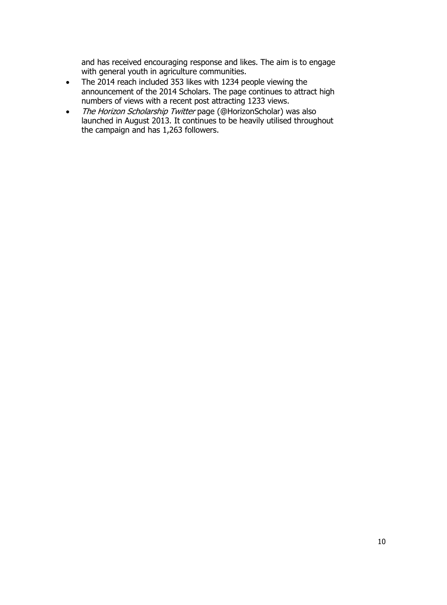and has received encouraging response and likes. The aim is to engage with general youth in agriculture communities.

- The 2014 reach included 353 likes with 1234 people viewing the announcement of the 2014 Scholars. The page continues to attract high numbers of views with a recent post attracting 1233 views.
- The Horizon Scholarship Twitter page (@HorizonScholar) was also launched in August 2013. It continues to be heavily utilised throughout the campaign and has 1,263 followers.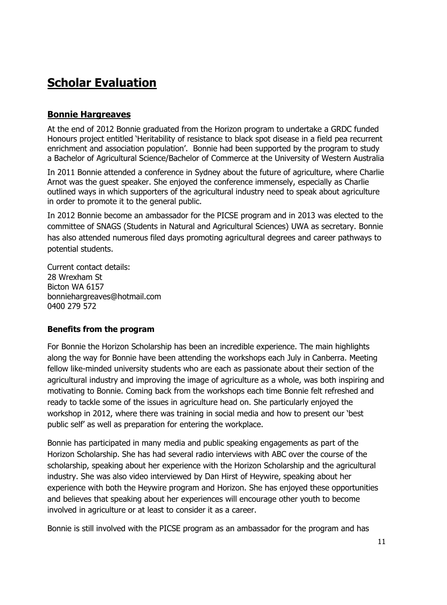# <span id="page-11-0"></span>**Scholar Evaluation**

#### **Bonnie Hargreaves**

At the end of 2012 Bonnie graduated from the Horizon program to undertake a GRDC funded Honours project entitled 'Heritability of resistance to black spot disease in a field pea recurrent enrichment and association population'. Bonnie had been supported by the program to study a Bachelor of Agricultural Science/Bachelor of Commerce at the University of Western Australia

In 2011 Bonnie attended a conference in Sydney about the future of agriculture, where Charlie Arnot was the guest speaker. She enjoyed the conference immensely, especially as Charlie outlined ways in which supporters of the agricultural industry need to speak about agriculture in order to promote it to the general public.

In 2012 Bonnie become an ambassador for the PICSE program and in 2013 was elected to the committee of SNAGS (Students in Natural and Agricultural Sciences) UWA as secretary. Bonnie has also attended numerous filed days promoting agricultural degrees and career pathways to potential students.

Current contact details: 28 Wrexham St Bicton WA 6157 bonniehargreaves@hotmail.com 0400 279 572

#### **Benefits from the program**

For Bonnie the Horizon Scholarship has been an incredible experience. The main highlights along the way for Bonnie have been attending the workshops each July in Canberra. Meeting fellow like-minded university students who are each as passionate about their section of the agricultural industry and improving the image of agriculture as a whole, was both inspiring and motivating to Bonnie. Coming back from the workshops each time Bonnie felt refreshed and ready to tackle some of the issues in agriculture head on. She particularly enjoyed the workshop in 2012, where there was training in social media and how to present our 'best public self' as well as preparation for entering the workplace.

Bonnie has participated in many media and public speaking engagements as part of the Horizon Scholarship. She has had several radio interviews with ABC over the course of the scholarship, speaking about her experience with the Horizon Scholarship and the agricultural industry. She was also video interviewed by Dan Hirst of Heywire, speaking about her experience with both the Heywire program and Horizon. She has enjoyed these opportunities and believes that speaking about her experiences will encourage other youth to become involved in agriculture or at least to consider it as a career.

Bonnie is still involved with the PICSE program as an ambassador for the program and has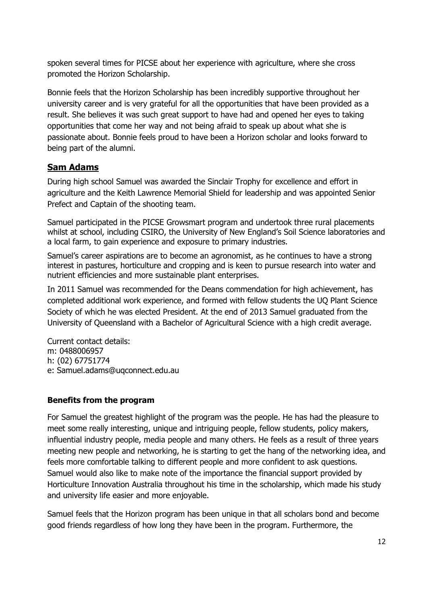spoken several times for PICSE about her experience with agriculture, where she cross promoted the Horizon Scholarship.

Bonnie feels that the Horizon Scholarship has been incredibly supportive throughout her university career and is very grateful for all the opportunities that have been provided as a result. She believes it was such great support to have had and opened her eyes to taking opportunities that come her way and not being afraid to speak up about what she is passionate about. Bonnie feels proud to have been a Horizon scholar and looks forward to being part of the alumni.

#### **Sam Adams**

During high school Samuel was awarded the Sinclair Trophy for excellence and effort in agriculture and the Keith Lawrence Memorial Shield for leadership and was appointed Senior Prefect and Captain of the shooting team.

Samuel participated in the PICSE Growsmart program and undertook three rural placements whilst at school, including CSIRO, the University of New England's Soil Science laboratories and a local farm, to gain experience and exposure to primary industries.

Samuel's career aspirations are to become an agronomist, as he continues to have a strong interest in pastures, horticulture and cropping and is keen to pursue research into water and nutrient efficiencies and more sustainable plant enterprises.

In 2011 Samuel was recommended for the Deans commendation for high achievement, has completed additional work experience, and formed with fellow students the UQ Plant Science Society of which he was elected President. At the end of 2013 Samuel graduated from the University of Queensland with a Bachelor of Agricultural Science with a high credit average.

Current contact details: m: 0488006957 h: (02) 67751774 e: Samuel.adams@uqconnect.edu.au

#### **Benefits from the program**

For Samuel the greatest highlight of the program was the people. He has had the pleasure to meet some really interesting, unique and intriguing people, fellow students, policy makers, influential industry people, media people and many others. He feels as a result of three years meeting new people and networking, he is starting to get the hang of the networking idea, and feels more comfortable talking to different people and more confident to ask questions. Samuel would also like to make note of the importance the financial support provided by Horticulture Innovation Australia throughout his time in the scholarship, which made his study and university life easier and more enjoyable.

Samuel feels that the Horizon program has been unique in that all scholars bond and become good friends regardless of how long they have been in the program. Furthermore, the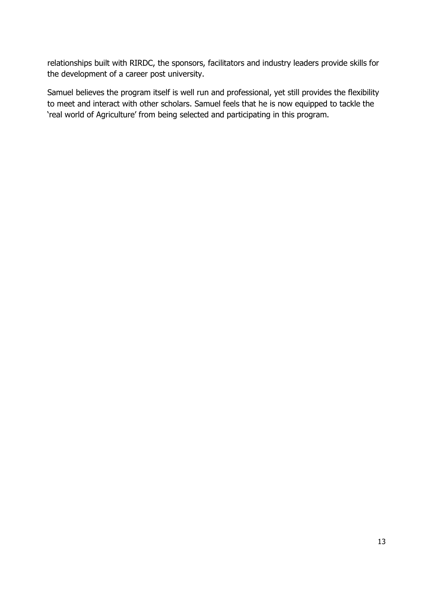relationships built with RIRDC, the sponsors, facilitators and industry leaders provide skills for the development of a career post university.

Samuel believes the program itself is well run and professional, yet still provides the flexibility to meet and interact with other scholars. Samuel feels that he is now equipped to tackle the 'real world of Agriculture' from being selected and participating in this program.